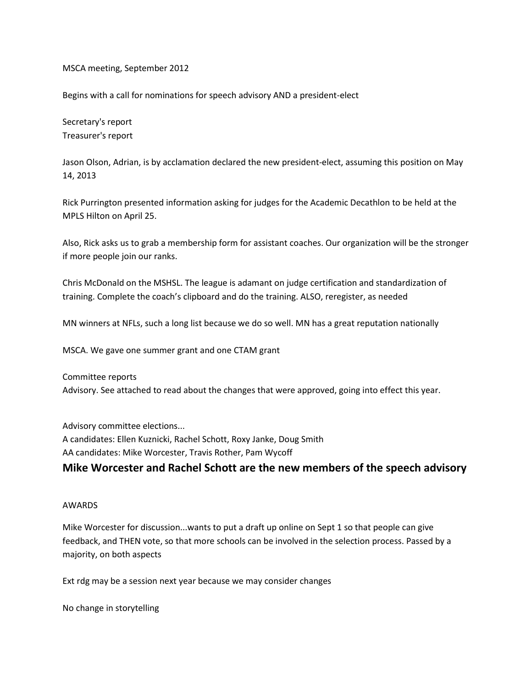MSCA meeting, September 2012

Begins with a call for nominations for speech advisory AND a president-elect

Secretary's report Treasurer's report

Jason Olson, Adrian, is by acclamation declared the new president-elect, assuming this position on May 14, 2013

Rick Purrington presented information asking for judges for the Academic Decathlon to be held at the MPLS Hilton on April 25.

Also, Rick asks us to grab a membership form for assistant coaches. Our organization will be the stronger if more people join our ranks.

Chris McDonald on the MSHSL. The league is adamant on judge certification and standardization of training. Complete the coach's clipboard and do the training. ALSO, reregister, as needed

MN winners at NFLs, such a long list because we do so well. MN has a great reputation nationally

MSCA. We gave one summer grant and one CTAM grant

Committee reports Advisory. See attached to read about the changes that were approved, going into effect this year.

Advisory committee elections... A candidates: Ellen Kuznicki, Rachel Schott, Roxy Janke, Doug Smith AA candidates: Mike Worcester, Travis Rother, Pam Wycoff

## **Mike Worcester and Rachel Schott are the new members of the speech advisory**

## AWARDS

Mike Worcester for discussion...wants to put a draft up online on Sept 1 so that people can give feedback, and THEN vote, so that more schools can be involved in the selection process. Passed by a majority, on both aspects

Ext rdg may be a session next year because we may consider changes

No change in storytelling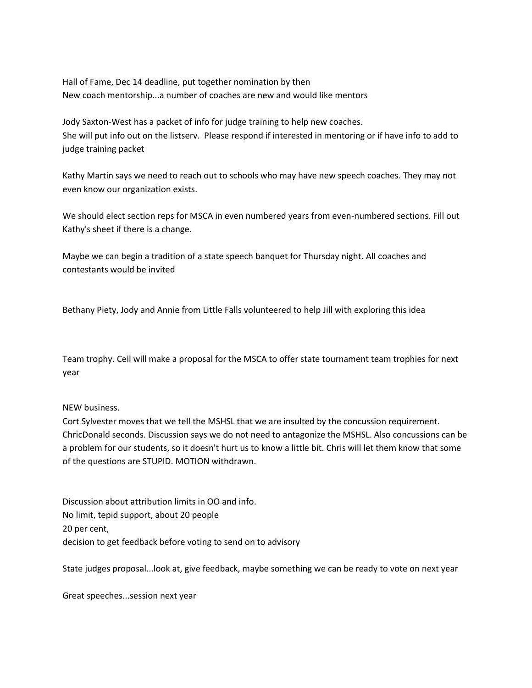Hall of Fame, Dec 14 deadline, put together nomination by then New coach mentorship...a number of coaches are new and would like mentors

Jody Saxton-West has a packet of info for judge training to help new coaches. She will put info out on the listserv. Please respond if interested in mentoring or if have info to add to judge training packet

Kathy Martin says we need to reach out to schools who may have new speech coaches. They may not even know our organization exists.

We should elect section reps for MSCA in even numbered years from even-numbered sections. Fill out Kathy's sheet if there is a change.

Maybe we can begin a tradition of a state speech banquet for Thursday night. All coaches and contestants would be invited

Bethany Piety, Jody and Annie from Little Falls volunteered to help Jill with exploring this idea

Team trophy. Ceil will make a proposal for the MSCA to offer state tournament team trophies for next year

## NEW business.

Cort Sylvester moves that we tell the MSHSL that we are insulted by the concussion requirement. ChricDonald seconds. Discussion says we do not need to antagonize the MSHSL. Also concussions can be a problem for our students, so it doesn't hurt us to know a little bit. Chris will let them know that some of the questions are STUPID. MOTION withdrawn.

Discussion about attribution limits in OO and info. No limit, tepid support, about 20 people 20 per cent, decision to get feedback before voting to send on to advisory

State judges proposal...look at, give feedback, maybe something we can be ready to vote on next year

Great speeches...session next year